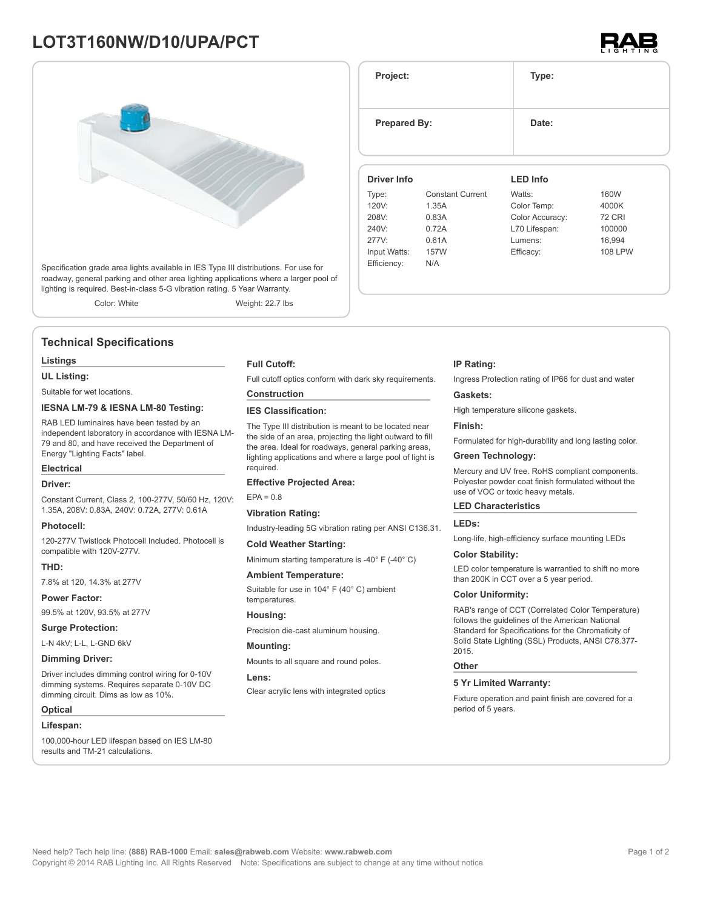# **LOT3T160NW/D10/UPA/PCT**



Specification grade area lights available in IES Type III distributions. For use for roadway, general parking and other area lighting applications where a larger pool of lighting is required. Best-in-class 5-G vibration rating. 5 Year Warranty.

Color: White Weight: 22.7 lbs

### **Technical Specifications**

#### **Listings**

**UL Listing:**

Suitable for wet locations.

### **IESNA LM-79 & IESNA LM-80 Testing:**

RAB LED luminaires have been tested by an independent laboratory in accordance with IESNA LM-79 and 80, and have received the Department of Energy "Lighting Facts" label.

### **Electrical**

#### **Driver:**

Constant Current, Class 2, 100-277V, 50/60 Hz, 120V: 1.35A, 208V: 0.83A, 240V: 0.72A, 277V: 0.61A

#### **Photocell:**

120-277V Twistlock Photocell Included. Photocell is compatible with 120V-277V.

#### **THD:**

7.8% at 120, 14.3% at 277V

**Power Factor:**

99.5% at 120V, 93.5% at 277V

**Surge Protection:**

L-N 4kV; L-L, L-GND 6kV

### **Dimming Driver:**

Driver includes dimming control wiring for 0-10V dimming systems. Requires separate 0-10V DC dimming circuit. Dims as low as 10%.

#### **Optical**

#### **Lifespan:**

100,000-hour LED lifespan based on IES LM-80 results and TM-21 calculations.

#### **Full Cutoff:**

Full cutoff optics conform with dark sky requirements.

## **Construction**

**IES Classification:**

The Type III distribution is meant to be located near the side of an area, projecting the light outward to fill the area. Ideal for roadways, general parking areas, lighting applications and where a large pool of light is required.

#### **Effective Projected Area:**

 $FPA = 0.8$ 

### **Vibration Rating:** Industry-leading 5G vibration rating per ANSI C136.31.

### **Cold Weather Starting:**

Minimum starting temperature is -40° F (-40° C)

#### **Ambient Temperature:**

Suitable for use in 104° F (40° C) ambient temperatures.

#### **Housing:**

Precision die-cast aluminum housing.

#### **Mounting:**

Mounts to all square and round poles.

#### **Lens:**

Clear acrylic lens with integrated optics

#### **IP Rating:**

Ingress Protection rating of IP66 for dust and water

#### **Gaskets:**

High temperature silicone gaskets.

#### **Finish:**

Formulated for high-durability and long lasting color.

### **Green Technology:**

Mercury and UV free. RoHS compliant components. Polyester powder coat finish formulated without the use of VOC or toxic heavy metals.

#### **LED Characteristics**

#### **LEDs:**

Long-life, high-efficiency surface mounting LEDs

#### **Color Stability:**

LED color temperature is warrantied to shift no more than 200K in CCT over a 5 year period.

#### **Color Uniformity:**

RAB's range of CCT (Correlated Color Temperature) follows the guidelines of the American National Standard for Specifications for the Chromaticity of Solid State Lighting (SSL) Products, ANSI C78.377- 2015.

#### **Other**

### **5 Yr Limited Warranty:**

Fixture operation and paint finish are covered for a period of 5 years.

### **Driver Info**

| <b>Driver Info</b> |                         | <b>LED Info</b> |                |  |
|--------------------|-------------------------|-----------------|----------------|--|
| Type:              | <b>Constant Current</b> | Watts:          | 160W           |  |
| 120V:              | 1.35A                   | Color Temp:     | 4000K          |  |
| 208V:              | 0.83A                   | Color Accuracy: | <b>72 CRI</b>  |  |
| 240V:              | 0.72A                   | L70 Lifespan:   | 100000         |  |
| 277V:              | 0.61A                   | Lumens:         | 16.994         |  |
| Input Watts:       | 157W                    | Efficacy:       | <b>108 LPW</b> |  |
| Efficiency:        | N/A                     |                 |                |  |
|                    |                         |                 |                |  |